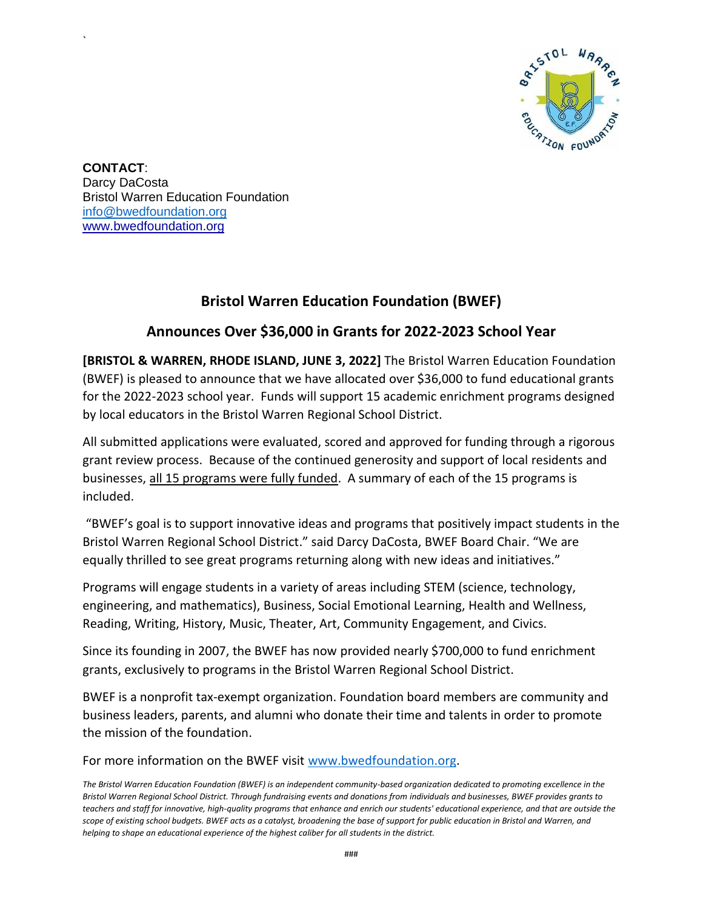

**CONTACT**: Darcy DaCosta Bristol Warren Education Foundation [info@bwedfoundation.org](mailto:info@bwedfoundation.org) [www.bwedfoundation.org](http://www.bwedfoundation.org/)

`

# **Bristol Warren Education Foundation (BWEF)**

# **Announces Over \$36,000 in Grants for 2022-2023 School Year**

**[BRISTOL & WARREN, RHODE ISLAND, JUNE 3, 2022]** The Bristol Warren Education Foundation (BWEF) is pleased to announce that we have allocated over \$36,000 to fund educational grants for the 2022-2023 school year. Funds will support 15 academic enrichment programs designed by local educators in the Bristol Warren Regional School District.

All submitted applications were evaluated, scored and approved for funding through a rigorous grant review process. Because of the continued generosity and support of local residents and businesses, all 15 programs were fully funded. A summary of each of the 15 programs is included.

"BWEF's goal is to support innovative ideas and programs that positively impact students in the Bristol Warren Regional School District." said Darcy DaCosta, BWEF Board Chair. "We are equally thrilled to see great programs returning along with new ideas and initiatives."

Programs will engage students in a variety of areas including STEM (science, technology, engineering, and mathematics), Business, Social Emotional Learning, Health and Wellness, Reading, Writing, History, Music, Theater, Art, Community Engagement, and Civics.

Since its founding in 2007, the BWEF has now provided nearly \$700,000 to fund enrichment grants, exclusively to programs in the Bristol Warren Regional School District.

BWEF is a nonprofit tax-exempt organization. Foundation board members are community and business leaders, parents, and alumni who donate their time and talents in order to promote the mission of the foundation.

For more information on the BWEF visit [www.bwedfoundation.org.](http://www.bwedfoundation.org/)

*The Bristol Warren Education Foundation (BWEF) is an independent community-based organization dedicated to promoting excellence in the Bristol Warren Regional School District. Through fundraising events and donations from individuals and businesses, BWEF provides grants to teachers and staff for innovative, high-quality programs that enhance and enrich our students' educational experience, and that are outside the scope of existing school budgets. BWEF acts as a catalyst, broadening the base of support for public education in Bristol and Warren, and helping to shape an educational experience of the highest caliber for all students in the district.*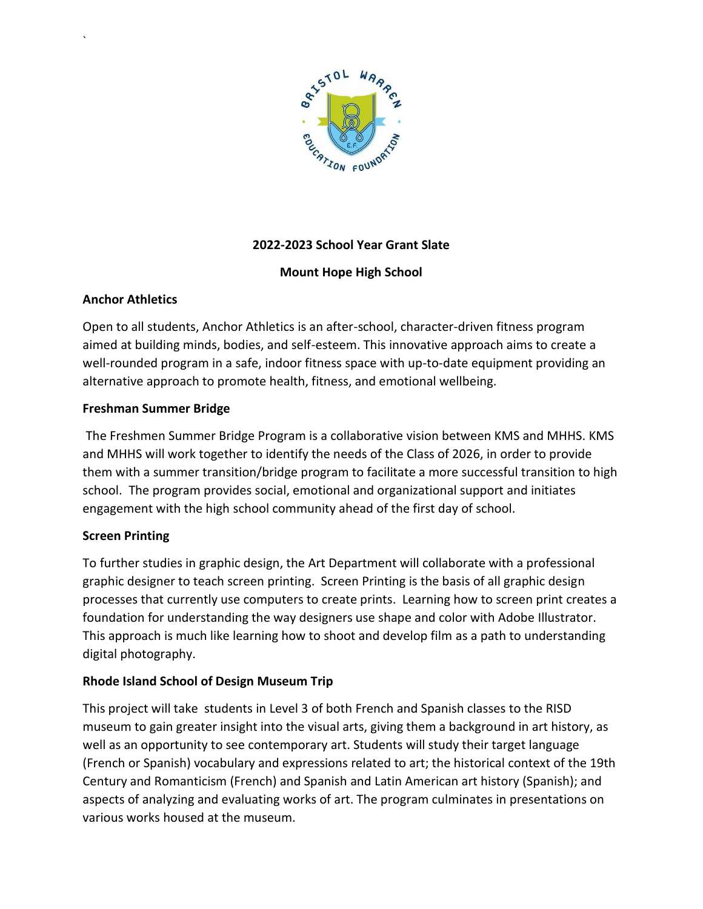

# **2022-2023 School Year Grant Slate**

## **Mount Hope High School**

### **Anchor Athletics**

`

Open to all students, Anchor Athletics is an after-school, character-driven fitness program aimed at building minds, bodies, and self-esteem. This innovative approach aims to create a well-rounded program in a safe, indoor fitness space with up-to-date equipment providing an alternative approach to promote health, fitness, and emotional wellbeing.

#### **Freshman Summer Bridge**

The Freshmen Summer Bridge Program is a collaborative vision between KMS and MHHS. KMS and MHHS will work together to identify the needs of the Class of 2026, in order to provide them with a summer transition/bridge program to facilitate a more successful transition to high school. The program provides social, emotional and organizational support and initiates engagement with the high school community ahead of the first day of school.

#### **Screen Printing**

To further studies in graphic design, the Art Department will collaborate with a professional graphic designer to teach screen printing. Screen Printing is the basis of all graphic design processes that currently use computers to create prints. Learning how to screen print creates a foundation for understanding the way designers use shape and color with Adobe Illustrator. This approach is much like learning how to shoot and develop film as a path to understanding digital photography.

## **Rhode Island School of Design Museum Trip**

This project will take students in Level 3 of both French and Spanish classes to the RISD museum to gain greater insight into the visual arts, giving them a background in art history, as well as an opportunity to see contemporary art. Students will study their target language (French or Spanish) vocabulary and expressions related to art; the historical context of the 19th Century and Romanticism (French) and Spanish and Latin American art history (Spanish); and aspects of analyzing and evaluating works of art. The program culminates in presentations on various works housed at the museum.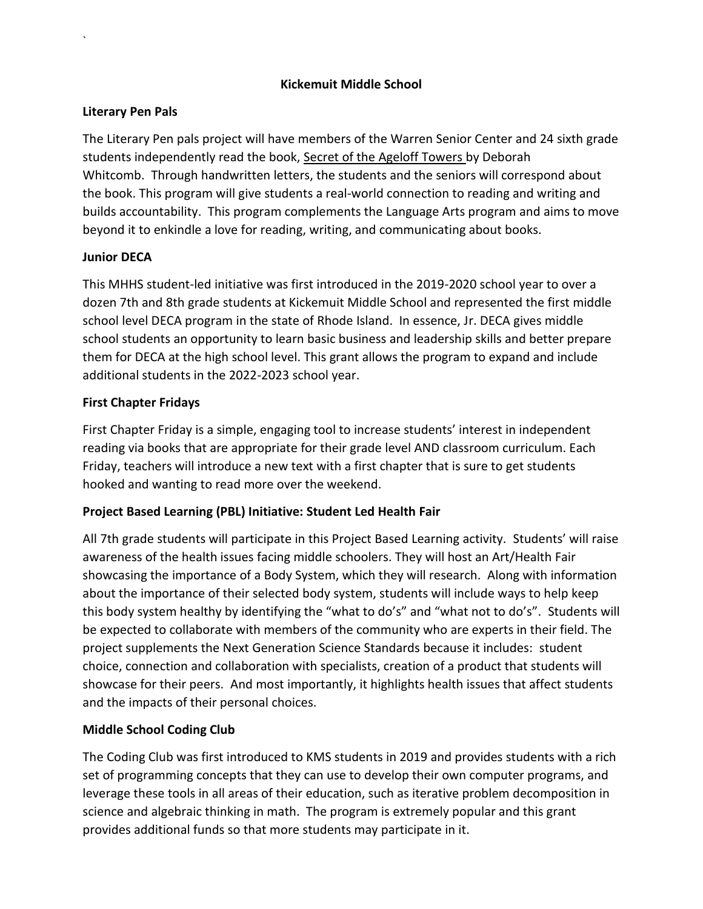### **Kickemuit Middle School**

### **Literary Pen Pals**

`

The Literary Pen pals project will have members of the Warren Senior Center and 24 sixth grade students independently read the book, Secret of the Ageloff Towers by Deborah Whitcomb. Through handwritten letters, the students and the seniors will correspond about the book. This program will give students a real-world connection to reading and writing and builds accountability. This program complements the Language Arts program and aims to move beyond it to enkindle a love for reading, writing, and communicating about books.

### **Junior DECA**

This MHHS student-led initiative was first introduced in the 2019-2020 school year to over a dozen 7th and 8th grade students at Kickemuit Middle School and represented the first middle school level DECA program in the state of Rhode Island. In essence, Jr. DECA gives middle school students an opportunity to learn basic business and leadership skills and better prepare them for DECA at the high school level. This grant allows the program to expand and include additional students in the 2022-2023 school year.

### **First Chapter Fridays**

First Chapter Friday is a simple, engaging tool to increase students' interest in independent reading via books that are appropriate for their grade level AND classroom curriculum. Each Friday, teachers will introduce a new text with a first chapter that is sure to get students hooked and wanting to read more over the weekend.

## **Project Based Learning (PBL) Initiative: Student Led Health Fair**

All 7th grade students will participate in this Project Based Learning activity. Students' will raise awareness of the health issues facing middle schoolers. They will host an Art/Health Fair showcasing the importance of a Body System, which they will research. Along with information about the importance of their selected body system, students will include ways to help keep this body system healthy by identifying the "what to do's" and "what not to do's". Students will be expected to collaborate with members of the community who are experts in their field. The project supplements the Next Generation Science Standards because it includes: student choice, connection and collaboration with specialists, creation of a product that students will showcase for their peers. And most importantly, it highlights health issues that affect students and the impacts of their personal choices.

## **Middle School Coding Club**

The Coding Club was first introduced to KMS students in 2019 and provides students with a rich set of programming concepts that they can use to develop their own computer programs, and leverage these tools in all areas of their education, such as iterative problem decomposition in science and algebraic thinking in math. The program is extremely popular and this grant provides additional funds so that more students may participate in it.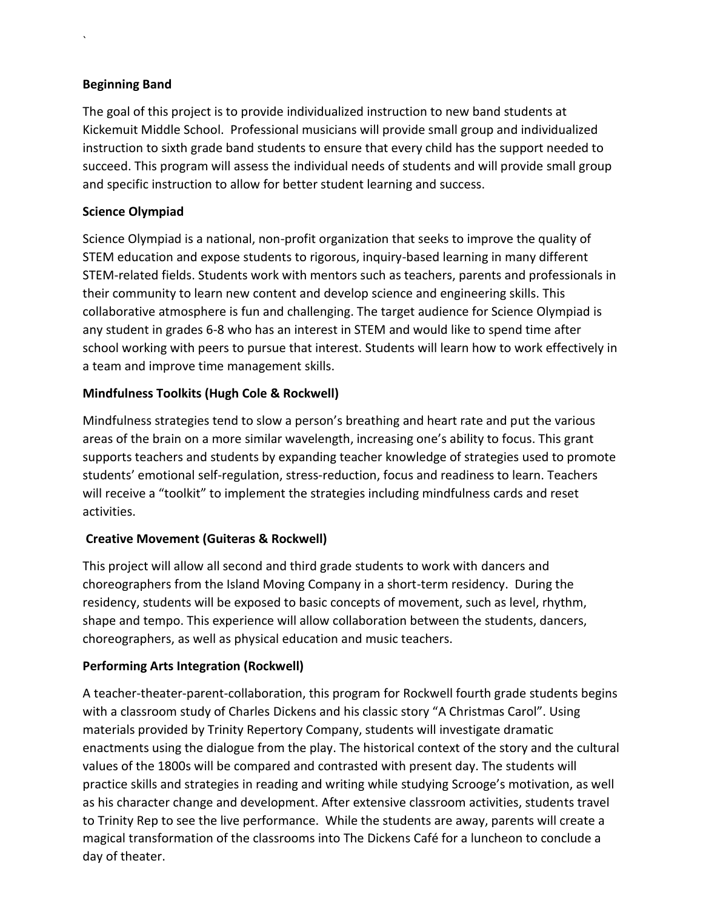## **Beginning Band**

`

The goal of this project is to provide individualized instruction to new band students at Kickemuit Middle School. Professional musicians will provide small group and individualized instruction to sixth grade band students to ensure that every child has the support needed to succeed. This program will assess the individual needs of students and will provide small group and specific instruction to allow for better student learning and success.

## **Science Olympiad**

Science Olympiad is a national, non-profit organization that seeks to improve the quality of STEM education and expose students to rigorous, inquiry-based learning in many different STEM-related fields. Students work with mentors such as teachers, parents and professionals in their community to learn new content and develop science and engineering skills. This collaborative atmosphere is fun and challenging. The target audience for Science Olympiad is any student in grades 6-8 who has an interest in STEM and would like to spend time after school working with peers to pursue that interest. Students will learn how to work effectively in a team and improve time management skills.

## **Mindfulness Toolkits (Hugh Cole & Rockwell)**

Mindfulness strategies tend to slow a person's breathing and heart rate and put the various areas of the brain on a more similar wavelength, increasing one's ability to focus. This grant supports teachers and students by expanding teacher knowledge of strategies used to promote students' emotional self-regulation, stress-reduction, focus and readiness to learn. Teachers will receive a "toolkit" to implement the strategies including mindfulness cards and reset activities.

## **Creative Movement (Guiteras & Rockwell)**

This project will allow all second and third grade students to work with dancers and choreographers from the Island Moving Company in a short-term residency. During the residency, students will be exposed to basic concepts of movement, such as level, rhythm, shape and tempo. This experience will allow collaboration between the students, dancers, choreographers, as well as physical education and music teachers.

#### **Performing Arts Integration (Rockwell)**

A teacher-theater-parent-collaboration, this program for Rockwell fourth grade students begins with a classroom study of Charles Dickens and his classic story "A Christmas Carol". Using materials provided by Trinity Repertory Company, students will investigate dramatic enactments using the dialogue from the play. The historical context of the story and the cultural values of the 1800s will be compared and contrasted with present day. The students will practice skills and strategies in reading and writing while studying Scrooge's motivation, as well as his character change and development. After extensive classroom activities, students travel to Trinity Rep to see the live performance. While the students are away, parents will create a magical transformation of the classrooms into The Dickens Café for a luncheon to conclude a day of theater.